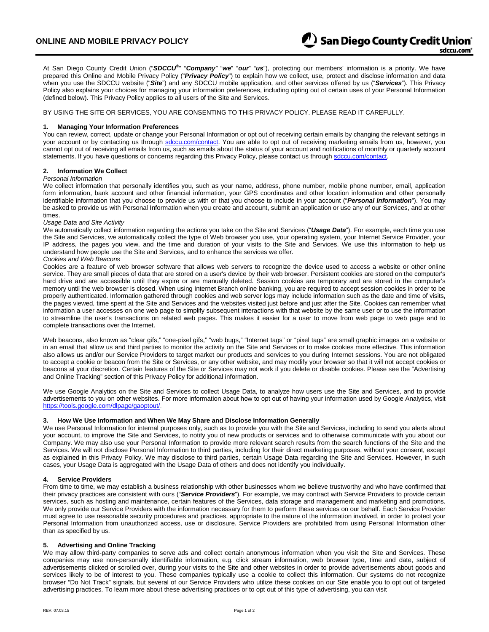At San Diego County Credit Union ("*SDCCU®* " "*Company"* "*we*" "*our*" "*us*"), protecting our members' information is a priority. We have prepared this Online and Mobile Privacy Policy ("*Privacy Policy*") to explain how we collect, use, protect and disclose information and data when you use the SDCCU website ("*Site*") and any SDCCU mobile application, and other services offered by us ("*Services*"). This Privacy Policy also explains your choices for managing your information preferences, including opting out of certain uses of your Personal Information (defined below). This Privacy Policy applies to all users of the Site and Services.

BY USING THE SITE OR SERVICES, YOU ARE CONSENTING TO THIS PRIVACY POLICY. PLEASE READ IT CAREFULLY.

# **1. Managing Your Information Preferences**

You can review, correct, update or change your Personal Information or opt out of receiving certain emails by changing the relevant settings in your account or by contacting us through [sdccu.com/contact.](http://www.sdccu.com/contact) You are able to opt out of receiving marketing emails from us, however, you cannot opt out of receiving all emails from us, such as emails about the status of your account and notifications of monthly or quarterly account statements. If you have questions or concerns regarding this Privacy Policy, please contact us throug[h sdccu.com/contact.](http://www.sdccu.com/contact)

## **2. Information We Collect**

## *Personal Information*

We collect information that personally identifies you, such as your name, address, phone number, mobile phone number, email, application form information, bank account and other financial information, your GPS coordinates and other location information and other personally identifiable information that you choose to provide us with or that you choose to include in your account ("*Personal Information*"). You may be asked to provide us with Personal Information when you create and account, submit an application or use any of our Services, and at other times.

## *Usage Data and Site Activity*

We automatically collect information regarding the actions you take on the Site and Services ("*Usage Data*"). For example, each time you use the Site and Services, we automatically collect the type of Web browser you use, your operating system, your Internet Service Provider, your IP address, the pages you view, and the time and duration of your visits to the Site and Services. We use this information to help us understand how people use the Site and Services, and to enhance the services we offer.

# *Cookies and Web Beacons*

Cookies are a feature of web browser software that allows web servers to recognize the device used to access a website or other online service. They are small pieces of data that are stored on a user's device by their web browser. Persistent cookies are stored on the computer's hard drive and are accessible until they expire or are manually deleted. Session cookies are temporary and are stored in the computer's memory until the web browser is closed. When using Internet Branch online banking, you are required to accept session cookies in order to be properly authenticated. Information gathered through cookies and web server logs may include information such as the date and time of visits, the pages viewed, time spent at the Site and Services and the websites visited just before and just after the Site. Cookies can remember what information a user accesses on one web page to simplify subsequent interactions with that website by the same user or to use the information to streamline the user's transactions on related web pages. This makes it easier for a user to move from web page to web page and to complete transactions over the Internet.

Web beacons, also known as "clear gifs," "one-pixel gifs," "web bugs," "Internet tags" or "pixel tags" are small graphic images on a website or in an email that allow us and third parties to monitor the activity on the Site and Services or to make cookies more effective. This information also allows us and/or our Service Providers to target market our products and services to you during Internet sessions. You are not obligated to accept a cookie or beacon from the Site or Services, or any other website, and may modify your browser so that it will not accept cookies or beacons at your discretion. Certain features of the Site or Services may not work if you delete or disable cookies. Please see the "Advertising and Online Tracking" section of this Privacy Policy for additional information.

We use Google Analytics on the Site and Services to collect Usage Data, to analyze how users use the Site and Services, and to provide advertisements to you on other websites. For more information about how to opt out of having your information used by Google Analytics, visit [https://tools.google.com/dlpage/gaoptout/.](https://tools.google.com/dlpage/gaoptout/)

## **3. How We Use Information and When We May Share and Disclose Information Generally**

We use Personal Information for internal purposes only, such as to provide you with the Site and Services, including to send you alerts about your account, to improve the Site and Services, to notify you of new products or services and to otherwise communicate with you about our Company. We may also use your Personal Information to provide more relevant search results from the search functions of the Site and the Services. We will not disclose Personal Information to third parties, including for their direct marketing purposes, without your consent, except as explained in this Privacy Policy. We may disclose to third parties, certain Usage Data regarding the Site and Services. However, in such cases, your Usage Data is aggregated with the Usage Data of others and does not identify you individually.

## **4. Service Providers**

From time to time, we may establish a business relationship with other businesses whom we believe trustworthy and who have confirmed that their privacy practices are consistent with ours ("*Service Providers*"). For example, we may contract with Service Providers to provide certain services, such as hosting and maintenance, certain features of the Services, data storage and management and marketing and promotions. We only provide our Service Providers with the information necessary for them to perform these services on our behalf. Each Service Provider must agree to use reasonable security procedures and practices, appropriate to the nature of the information involved, in order to protect your Personal Information from unauthorized access, use or disclosure. Service Providers are prohibited from using Personal Information other than as specified by us.

## **5. Advertising and Online Tracking**

We may allow third-party companies to serve ads and collect certain anonymous information when you visit the Site and Services. These companies may use non-personally identifiable information, e.g. click stream information, web browser type, time and date, subject of advertisements clicked or scrolled over, during your visits to the Site and other websites in order to provide advertisements about goods and services likely to be of interest to you. These companies typically use a cookie to collect this information. Our systems do not recognize browser "Do Not Track" signals, but several of our Service Providers who utilize these cookies on our Site enable you to opt out of targeted advertising practices. To learn more about these advertising practices or to opt out of this type of advertising, you can visit